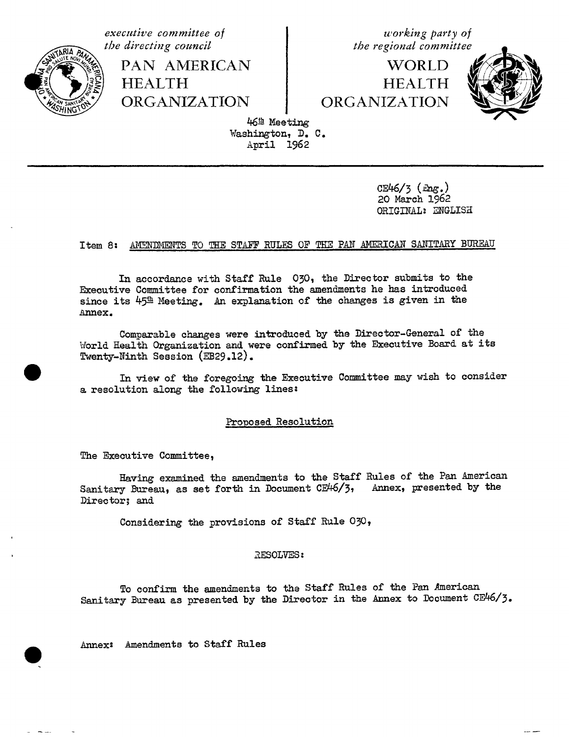executive committee of the directing council



PAN AMERICAN **HEALTH ORGANIZATION** 

working party of the regional committee

**WORLD HEALTH** ORGANIZATION



46<sup>th</sup> Meeting Washington, D. C. April 1962

> $CE46/3$  ( $mg.$ ) 20 March 1962 ORIGINAL: ENGLISH

### Item 8: AMENDMENTS TO THE STAFF RULES OF THE PAN AMERICAN SANITARY BUREAU

In accordance with Staff Rule 030, the Director submits to the Executive Committee for confirmation the amendments he has introduced since its  $45^{\pm}$  Meeting. An explanation of the changes is given in the Annex.

Comparable changes were introduced by the Director-General of the World Health Organization and were confirmed by the Executive Board at its Twenty-Ninth Session (EB29.12).

In view of the foregoing the Executive Committee may wish to consider a resolution along the following lines:

### Proposed Resolution

The Executive Committee,

Having examined the amendments to the Staff Rules of the Pan American Sanitary Bureau, as set forth in Document CE46/3, Annex, presented by the Director; and

Considering the provisions of Staff Rule 030,

### RESOLVES:

To confirm the amendments to the Staff Rules of the Pan American Sanitary Bureau as presented by the Director in the Annex to Document CE46/3.

Annex: Amendments to Staff Rules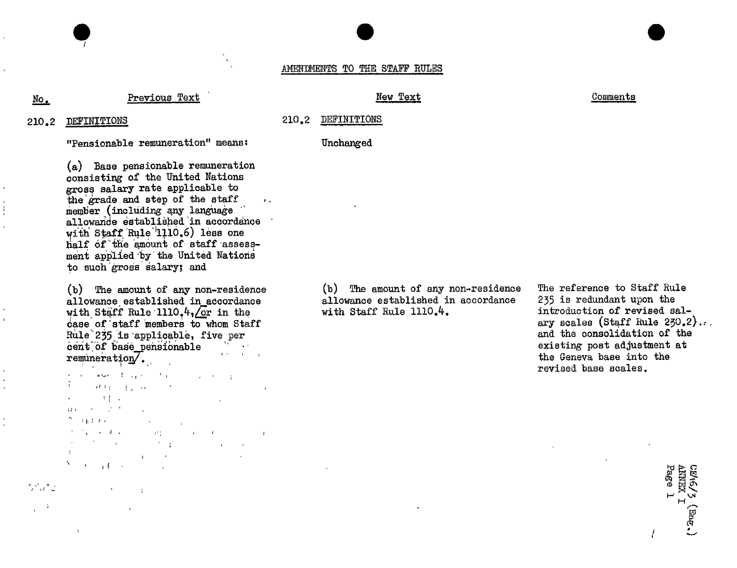### AMENDMENTS TO THE STAFF RULES

# No. Previous Text New Text New Text New Text Comments

ı.

### 21o**.**2 210**.**2

"Pensionable remuneration" means: Unch*a*nged

(a) Base pensionable remuneration *c*onsisting of the United Nations gross salary rate applicable to the grade and step of the staff  $\cdot$ .<br>member (including any language member (including any language allowande established in accordance with  $\log_{10}$  Rule 1110.0) less one Half of the smoon of staff assessment applied by the United Nations to such'gross salary; and

allowance established in accordance allowance established in accordance 235 is redundant upon the with Staff Rule 1110.<sup>4</sup>. introduction of revised salcase of staff members to whom Staff ary scales (Staff Rule 250.2)<br>Rule 235 is applicable, five per Rule<sup>-</sup>235 is applicable, five per and the consolidation of the consolidation of the consolidation of the consolidation of the consolidation of the consolidation of the consolidation of the consolidation of the consolidati cent, of base pensionable  $\frac{1}{2}$  remuneration.

 $\partial \Omega_1 = \{ \varphi_1, \varphi_2, \varphi_3 \}$  $\cdot$ **Contract Contract** ii,  $\mathcal{A}$  in the  $\mathcal{A}$  -set  $\mathcal{A}^{\text{max}}$  and  $\mathcal{A}^{\text{max}}$ **Contract Contract Contract Contract Contract Channel Advised** the contract of the process of the con- $\mathcal{L} = \mathcal{L}$  $\mathbf{u} = \mathbf{v}$  $N_{\rm{max}}$  ,  $\epsilon_{\rm{max}}$  ,  $\epsilon_{\rm{max}}$ 

,JJ \_.

 $\sim$  $\sim 10$ 

(b) The amount of any non-residence  $\qquad$  (b) The amount of any non-residence The reference to Staff Rule allowance established in accordance  $\qquad$  235 is redundant upon the

ary scales (Staff Rule  $250.2$ )... remarks the first state of the Geneva base into the Geneva base into the revised base scales.<br>The revision of the revision of the revision of the revision of the revision of the revision of the revision of

*l*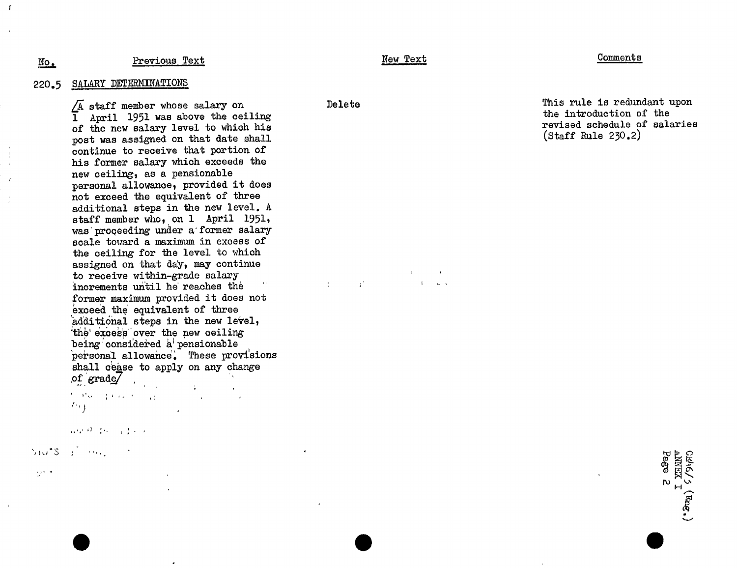### Previous Text

### New Text

### Comments

SALARY DETERMINATIONS  $220 - 5$ 

 $N_{\rm O}$ .

 $\sqrt{A}$  staff member whose salary on I April 1951 was above the ceiling of the new salary level to which his post was assigned on that date shall continue to receive that portion of his former salary which exceeds the new ceiling, as a pensionable personal allowance, provided it does not exceed the equivalent of three additional steps in the new level. A staff member who, on 1 April 1951, was proceeding under a former salary scale toward a maximum in excess of the ceiling for the level to which assigned on that day, may continue to receive within-grade salary increments until he reaches the former maximum provided it does not exceed the equivalent of three additional steps in the new level, the excess over the new ceiling being considered a pensionable personal allowance. These provisions shall cease to apply on any change of grade to the operation of the common

 $\{ \cdot, \cdot \}$  $\mathcal{L}^{\text{max}}$  and  $\mathcal{L}^{\text{max}}$ 

 $\bullet$ 

海峡峡 数据 计变动器

Sides Francisco

 $\mathcal{L}^{(1)}$  .

Delete

 $\frac{1}{\sqrt{2}}$ 

 $\mathcal{A}^{\mathcal{A}}$ 

 $\mathbf{r}$ 

This rule is redundant upon the introduction of the revised schedule of salaries  $(\text{Staff Rule } 230.2)$ 

CEMEX<br>ANNEX I<br>Page 2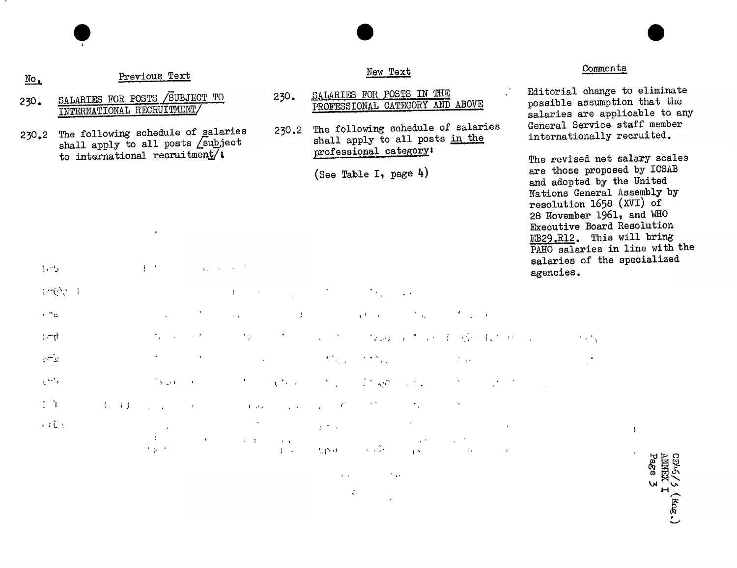| $\underline{\texttt{No}}$       |                                                                               |           | Previous Text                                                     |                   |                                                                                                 |                                                                                             |                                                                                        | New Text                                                                                        |                               |                                       |                              |           | Comments                 |                                                                                                                                                                                                                                                                                    |  |
|---------------------------------|-------------------------------------------------------------------------------|-----------|-------------------------------------------------------------------|-------------------|-------------------------------------------------------------------------------------------------|---------------------------------------------------------------------------------------------|----------------------------------------------------------------------------------------|-------------------------------------------------------------------------------------------------|-------------------------------|---------------------------------------|------------------------------|-----------|--------------------------|------------------------------------------------------------------------------------------------------------------------------------------------------------------------------------------------------------------------------------------------------------------------------------|--|
| 230.                            | SALARIES FOR POSTS SUBJECT TO<br>INTERNATIONAL RECRUITMENT/                   |           |                                                                   | 230.              | SALARIES FOR POSTS IN THE<br>PROFESSIONAL CATEGORY AND ABOVE                                    |                                                                                             |                                                                                        | Editorial change to eliminate<br>possible assumption that the<br>salaries are applicable to any |                               |                                       |                              |           |                          |                                                                                                                                                                                                                                                                                    |  |
| 230.2                           | The following schedule of galaries<br>shall apply to all posts <i>subject</i> |           |                                                                   | 230.2             | The following schedule of salaries<br>shall apply to all posts in the<br>professional category: |                                                                                             |                                                                                        | General Service staff member<br>internationally recruited.                                      |                               |                                       |                              |           |                          |                                                                                                                                                                                                                                                                                    |  |
| $1 - 5$                         |                                                                               |           | to international recruitment/:<br>$\frac{1}{2}$ , $\frac{1}{2}$ , |                   | $\mathcal{A}_{\mathcal{A}}$ , and $\mathcal{A}_{\mathcal{A}}$ , and $\mathcal{A}_{\mathcal{A}}$ |                                                                                             |                                                                                        | (See Table I, page $4$ )                                                                        |                               |                                       |                              | agencies. | resolution 1658 (XVI) of | The revised net salary scales<br>are those proposed by ICSAB<br>and adopted by the United<br>Nations General Assembly by<br>28 November 1961, and WHO<br>Executive Board Resolution<br>EB29, R12. This will bring<br>PAHO salaries in line with the<br>salaries of the specialized |  |
|                                 | 1/10/11                                                                       |           |                                                                   |                   | $\Delta$ .                                                                                      |                                                                                             |                                                                                        |                                                                                                 |                               |                                       |                              |           |                          |                                                                                                                                                                                                                                                                                    |  |
| $+$ $\pi_{\text{tr}}$           |                                                                               |           |                                                                   |                   | $\mathcal{A}^{\pm}$                                                                             | $\rightarrow$                                                                               |                                                                                        | $\mathbf{A}^{(1)}$ and $\mathbf{A}^{(1)}$                                                       | $\mathcal{F}_{\mathcal{M}}$ . |                                       |                              |           |                          |                                                                                                                                                                                                                                                                                    |  |
| $\ddot{h}$                      |                                                                               |           |                                                                   |                   | $\frac{1}{2}$                                                                                   |                                                                                             |                                                                                        | 4. 图 1. 经通过工作单项 原则                                                                              |                               |                                       |                              |           | $\lambda$ and $\lambda$  |                                                                                                                                                                                                                                                                                    |  |
| $\Gamma^{\frac{1}{1-\alpha}}$   |                                                                               |           |                                                                   |                   |                                                                                                 |                                                                                             | $\mathcal{F}^{(n)}_{\mathcal{F}_{\mathcal{G}}^{(n)}(\mathcal{F}_{\mathcal{G}}^{(n)})}$ | $\mathcal{L} \neq \mathcal{N}_{\text{max}}$                                                     |                               |                                       |                              |           |                          |                                                                                                                                                                                                                                                                                    |  |
| $\mathcal{C}^{\star\star\star}$ |                                                                               |           | $\overline{\mathbb{Z}}$ (Fig. ) and ( $\overline{\mathbb{Q}}$     |                   |                                                                                                 | $\label{eq:1} \mathcal{F}(\mathcal{F}) = \mathcal{F}(\mathcal{F}) \mathcal{F}(\mathcal{F})$ | $\mathcal{O}(\mathcal{O}_\mathcal{A})$ .                                               | $\mathcal{L}^{\mathcal{A}}$ , $\mathcal{L}^{\mathcal{A}}$ ,                                     | $\mathcal{L}^{\text{max}}$    |                                       |                              |           |                          |                                                                                                                                                                                                                                                                                    |  |
| $\ddot{z}$                      |                                                                               | $(1 - 1)$ | <b>Sales State</b>                                                | <b>Contractor</b> | $\sim 100$ $\mu$                                                                                |                                                                                             | <b>Contract Contract Contract Contract</b>                                             |                                                                                                 |                               |                                       |                              |           |                          |                                                                                                                                                                                                                                                                                    |  |
|                                 | $i\in\overline{\mathbb{C}}$ :                                                 |           | <b>Contract</b>                                                   | $\pm$ .           |                                                                                                 | <b>The Contract</b>                                                                         | $\sim 10^{-2}$ and $\sim$                                                              |                                                                                                 |                               |                                       |                              |           |                          | $\mathbf{I}$                                                                                                                                                                                                                                                                       |  |
|                                 |                                                                               |           | $\lambda$ (p $\sim$                                               |                   |                                                                                                 | 1000年4月                                                                                     |                                                                                        | Report of the Contractor                                                                        |                               | $\sim 10^{11}$ m $^{-1}$ M $_{\odot}$ | $\langle \mathbf{J} \rangle$ |           |                          | میں است                                                                                                                                                                                                                                                                            |  |

<u>т</u>

 $\mathcal{L}^{\text{max}}_{\text{max}}$  , the contract of  $\mathcal{L}^{\text{max}}_{\text{max}}$  , the contract of  $\mathcal{L}^{\text{max}}_{\text{max}}$ 

CEV4*/ 5* (Eug.)<br>ANNEX I<br>Page 3

 $\frac{1}{2}$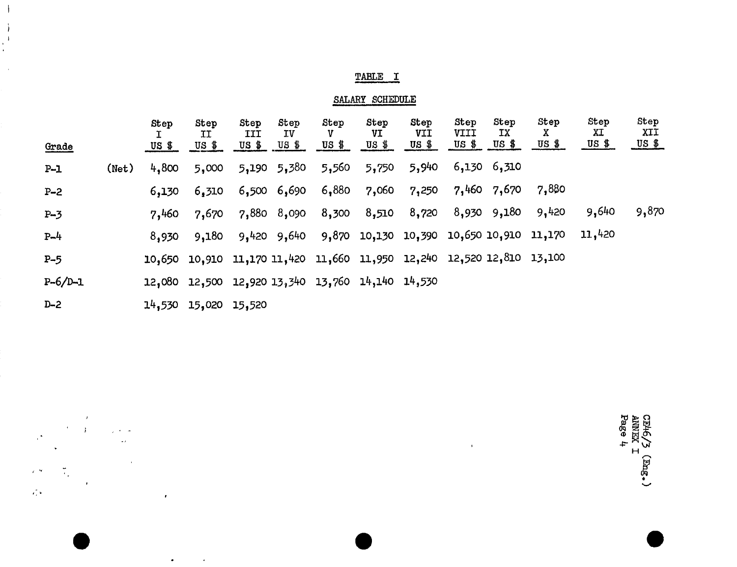# TABLE I

 $\overline{\phantom{a}}$ 

 $\begin{array}{c} \begin{array}{c} \downarrow \\ \downarrow \end{array} \\ \begin{array}{c} \downarrow \\ \downarrow \end{array} \end{array}$ 

 $\mathcal{A}$  $\sim 10^7$ 

 $\mathcal{A}$ 

 $\mathcal{A}^{\star}$ 

 $e^{-\frac{1}{2}}$ 

 $\frac{1}{\sqrt{2}}\sqrt{2}$ 

 $\ddot{\phantom{0}}$ 

 $\frac{1}{\sqrt{2}}\frac{d\mathbf{r}}{d\mathbf{r}}$ 

 $\gamma = \gamma_{\rm c} + \gamma_{\rm eff}$ 

 $\langle \omega \rangle$ 

 $\alpha$ 

 $\mathcal{A}^{\pm}$ 

 $\bullet$ 

 $\mathcal{A}^{\mathcal{A}}$ 

# SALARY SCHEDULE

|              |       | Step   | Step<br>II    | Step<br>III | Step<br>ΙV      | Step<br>v                                                             | Step<br>VI | Step<br>VII | Step<br>VIII | Step<br>TХ      | Step<br>X | Step<br>XI | Step<br>XII                             |
|--------------|-------|--------|---------------|-------------|-----------------|-----------------------------------------------------------------------|------------|-------------|--------------|-----------------|-----------|------------|-----------------------------------------|
| <b>Grade</b> |       | US \$  | US \$         | US \$       | $US$ \$         | $US$ \$                                                               | US \$      | $US$ \$     | $US$ \$      | US \$           | US \$     | $US$ \$    | $\frac{US \frac{4}{3}}{US \frac{4}{3}}$ |
| $P-1$        | (Net) | 4,800  | 5,000         |             | $5,190$ $5,380$ | 5,560                                                                 | 5,750      | 5,940       |              | $6,130$ $6,310$ |           |            |                                         |
| $P - 2$      |       | 6,130  | 6,310         |             | $6,500$ $6,690$ | 6,880                                                                 | 7,060      | 7,250       |              | 7,460 7,670     | 7,880     |            |                                         |
| $P - 3$      |       | 7,460  | 7,670         |             | 7,880 8,090     | 8,300                                                                 | 8,510      | 8,720       |              | 8,930 9,180     | 9,420     | 9,640      | 9,870                                   |
| $P - 4$      |       | 8,930  | 9,180         |             |                 | 9,420 9,640 9,870 10,130 10,390 10,650 10,910 11,170                  |            |             |              |                 |           | 11,420     |                                         |
| $P-5$        |       |        |               |             |                 | 10,650 10,910 11,170 11,420 11,660 11,950 12,240 12,520 12,810 13,100 |            |             |              |                 |           |            |                                         |
| $P-6/D-1$    |       |        |               |             |                 | 12,080 12,500 12,920 13,340 13,760 14,140 14,530                      |            |             |              |                 |           |            |                                         |
| $D-2$        |       | 14,530 | 15,020 15,520 |             |                 |                                                                       |            |             |              |                 |           |            |                                         |

CE46/3 (Eng.)<br>ANNEX I<br>Page 4

 $\frac{1}{2}$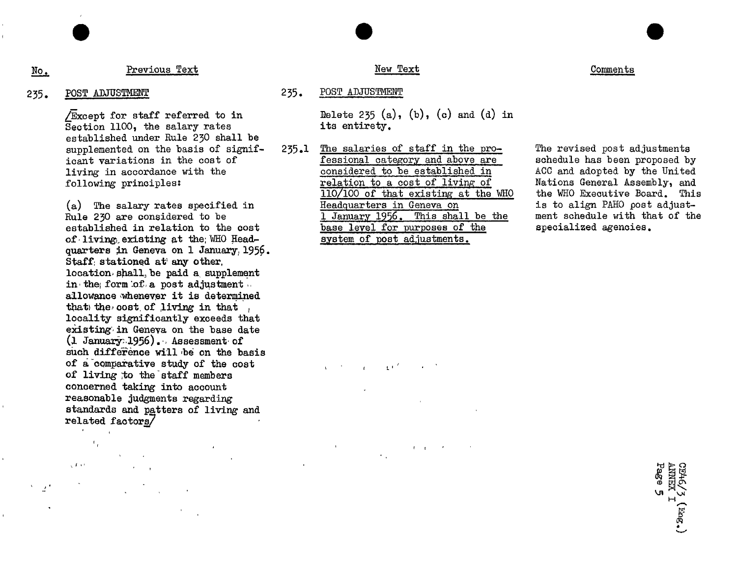# No. Previous Text New Text New Text New Text Comments

### 235. POSTADJUSTMENT 235. POSTADJUSTMENT

 $f_{\rm eff}$ 

 $\sqrt{10^{-4}}$ 

Section 1100, the salary rates established under Rule 230 shall be supplemented on the basis of signif- 235.1 The salaries of staff in the pro-<br>icant variations in the cost of **Fessional category** and above are schedule has been proposed by

established in relation to the cost base level for purposes of of living existing at the WHO Head-<br>system of post adjustments. of living existing at the WHO Headquarters in Geneva on 1 January, 1956. Staff: stationed at any other. location shall, be paid a supplement in the form of a post adjustment. allowance whenever it is determined that the cost of living in that . locality significantly exceeds that existing in Geneva on the base date  $(1)$  January 1956). Assessment of such difference will be on the basis of a'comparative study of the cost , , . \_ of living to the staff members concerned taking into account reasonable judgments regarding standards and patters of living and related factors\_\_

 $j$  1  $\pm$  1  $\pm$  1  $\pm$  1  $\pm$  1  $\pm$  1  $\pm$  1  $\pm$  1  $\pm$  1  $\pm$  1  $\pm$  1  $\pm$  1  $\pm$  1  $\pm$  1  $\pm$  1 $\pm$  1 $\pm$  1 $\pm$  1 $\pm$  1 $\pm$  1 $\pm$  1 $\pm$  1 $\pm$  1 $\pm$  1 $\pm$  1 $\pm$  1 $\pm$  1 $\pm$  1 $\pm$  1 $\pm$  1 $\pm$  1 $\pm$  1 $\pm$  1 $\pm$  1 $\pm$ 

 $\sqrt{\text{Except}}$  for staff referred to in Delete 235 (a), (b), (c) and (d) in Section 1100, the salary rates its entirety.

icant variations in the cost of **E**essional category and above are schedule has been proposed by<br>living in accordance with the considered to be established in ACC and adopted by the United living in accordance with the considered to be established in ACC and adopted by the United following principles:<br>
relation to a cost of living of Mations General Assembly, and relation to a cost of living of Nations General Assembly, and  $\frac{110}{100}$  of that existing at the WHO executive Board. This 110/100 of that existing at the WHO the WHO Executive Board. This<br>Headquarters in Geneva on the to align PAHO post adjust-(a) The salary rates specified in the edguarters in Geneva on the to align PAHO post adjust-<br>Rule 230 are considered to be the information of the family be the the the ment schedule with that of the 1 January 1956. This shall be the ment schedule with the base level for purposes of the specialized agencies.

 $\sim$  kJ1 and the contract of the contract of the contract of the contract of the contract of the contract of the contract of the contract of the contract of the contract of the contract of the contract of the contract of CE46/5 (Eng.)<br>ANNEX I<br>Page 5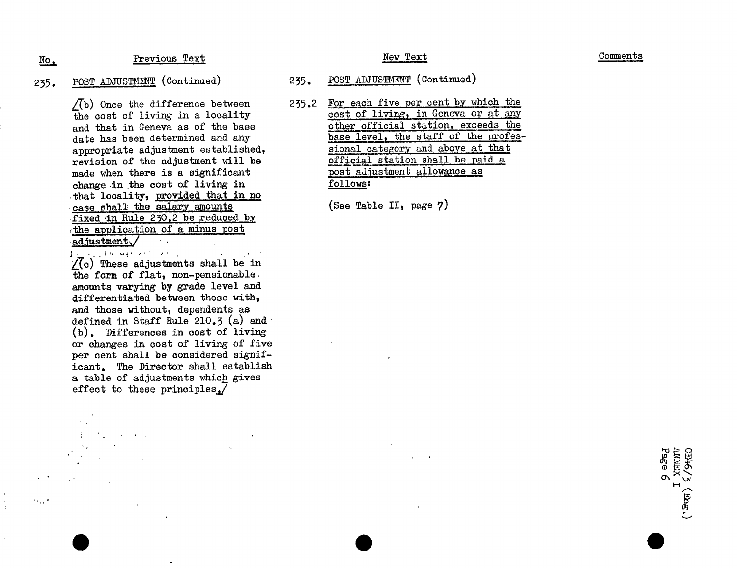# No, Previous Text Previous Text New Text New Text Comments

revision of the adjustment will be  $\frac{\text{of}}{\text{model}}$  station shall be paid and a station shall be paid and a station shall be paid and a station shall be paid and a station shall be paid and a station shall be paid and a stat made when there is a significant post adjustment allows:<br>change in the cost of living in follows: change in the cost of living in that locality, provided that in no case shall the salary amounts (See Table II, page 7) fixed in Rule 25Q\_2 be reduced by the application of a minus post adjustment\_**/**

and the state of the state  $\sqrt{c}$ ) These adjustments shall be in the form of flat, non-pensionable amounts varying by grade level and differentiated between those with, and those without, dependents as defined in Staff Rule 210.3 (a) and (b). Differences in cost of living or changes in cost of living of five per cent shall be considered significant. The Director shall establish a table of adjustments which gives effect to these principles. $\overline{7}$ 

Contractor Contractor

 $\mathbf{r} = \mathbf{x}$ 

 $\cdot$  , , ,  $\cdot$ 

- 235. POST ADJUSTMENT (Continued) 235. POST ADJUSTMENT (Continued)
	- $\sqrt{(b)}$  Once the difference between 235.2 For each five per cent by which the the cost of living in a locality cost of living, in Geneva or at any the cost of living in a locality cost of living, in Geneva or at any end that in Geneva as of the base other official station, exceeds the and that in Geneva as of the base other official station, exceeds the date has been determined and any base level, the staff of the profesdate has been determined and any base level, the staff of the profession of the orofessional category and above at that appropriate adjustment established, sional category and above at that<br>revision of the adjustment will be settled as official station shall be paid a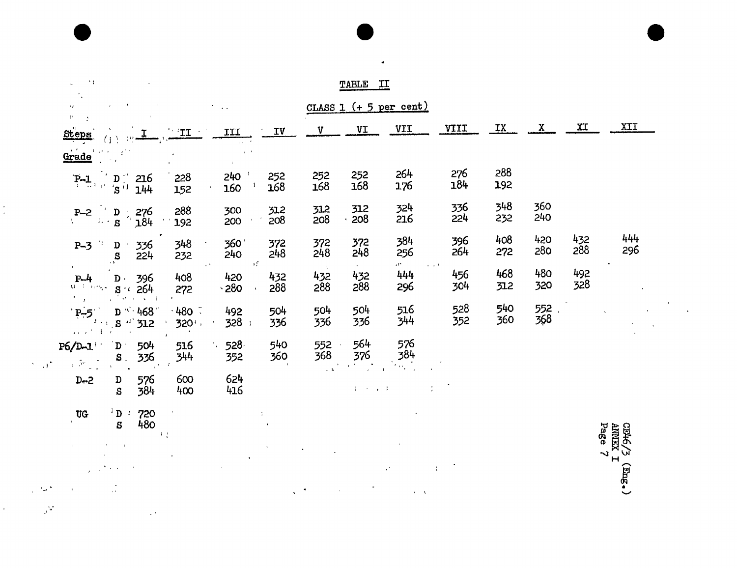| ×)                                                                                                                                                                                                      |                                                             |                                                     |                    | TABLE                                | II                                              |            |            |              |            |            |
|---------------------------------------------------------------------------------------------------------------------------------------------------------------------------------------------------------|-------------------------------------------------------------|-----------------------------------------------------|--------------------|--------------------------------------|-------------------------------------------------|------------|------------|--------------|------------|------------|
| Ag.<br>$\mathbf{t}^{\mathbf{t}}$                                                                                                                                                                        | $\bullet$<br>$\rightarrow$                                  |                                                     |                    |                                      | CLASS $1$ (+ 5 per cent)                        |            |            |              |            |            |
| $\mathcal{L}$<br>Steps                                                                                                                                                                                  | III<br>$\mathbf{T}$                                         | IV                                                  | V                  | VI                                   | VII                                             | VIII       | IX         | $\mathbf{x}$ | XI         | XII        |
| Grade<br><b>Allen</b><br>$\mathcal{A}^{(k,k)}$<br>$\sim$ 1                                                                                                                                              |                                                             | $\mathbf{1}$<br>$\mathbf{F} \rightarrow \mathbf{F}$ |                    |                                      |                                                 |            |            |              |            |            |
| $\mathbf{D}$<br>$\left[\mathbf{P}\!-\!\mathbf{I}\!\right]_{\mathcal{H}\left(\mathcal{V}\right)}$<br>216<br>$^{\prime}S^{\dagger}$<br>144                                                                | 240<br>228<br>160<br>152                                    | 252<br>168                                          | 252<br>168         | 252<br>168                           | 264<br>176                                      | 276<br>184 | 288<br>192 |              |            |            |
| 276<br>$P - 2$<br>D<br>$\mathcal{A}$<br>$\mathbf{B}^{\text{max}}$<br>n 1<br>184                                                                                                                         | 288<br>300<br>200<br>192                                    | 312<br>208                                          | 312<br>208         | 312<br>208                           | 324<br>216                                      | 336<br>224 | 348<br>232 | 360<br>240   |            |            |
| $\frac{1}{2}$<br>336<br>$P-3$<br>$\mathbf D$<br>S<br>224<br>$\rightarrow$                                                                                                                               | 360<br>348<br>240<br>232                                    | 372<br>248                                          | 372<br>248         | 372<br>248                           | 384<br>256                                      | 396<br>264 | 408<br>272 | 420<br>280   | 432<br>288 | 444<br>296 |
| ٠<br>$P-4$<br>396<br>$\mathbf{D}$ .<br>$Q = L$<br>264<br>$\sim 10^{11}$ kpc<br>$\mathbf{S}^{(i)}$<br>$\mathbf{L}_{\mathbf{r}}$                                                                          | $\alpha$ .<br>408<br>420<br>$-280$<br>272                   | πŗ<br>432<br>288                                    | - 5<br>432<br>288  | $\mathbf{A}$ .<br>432<br>288         | est form<br>$\omega = \omega / 3$<br>444<br>296 | 456<br>304 | 468<br>312 | 480<br>320   | 492<br>328 | $\bullet$  |
| $\mathcal{A}^{\mathcal{B}}$<br>$\sim$ $\sim$ 1<br>$\mathbf{r}$<br>$D \sim 468$<br>$P - 5$<br>-447<br>$\mathcal{F} \times \mathcal{F}$<br>$\mathbf{s}$<br>312<br>$\alpha$ and $\alpha$ .<br>$\mathbf{f}$ | $\cdot$ 480 $\bar{\cdot}$<br>492<br>328<br>320 <sup>1</sup> | 504<br>336                                          | 504<br>336         | 504<br>336                           | 516<br>344                                      | 528<br>352 | 540<br>360 | 552<br>368   |            |            |
| $P6/D-1$<br>$\mathbf{D}$<br>504<br>336<br>$S_{-}$<br>$\chi(\tilde{\mathcal{P}}^{\omega})$<br>$\mathcal{N}=\sqrt{10}$                                                                                    | 528<br>516<br>344<br>352                                    | 540<br>360                                          | 552<br>368         | 564<br>376<br>$\mathbb{Z}^{\bullet}$ | 576<br>384<br>$\mathcal{M}_{\rm{CO}}$           |            |            |              |            |            |
| 576<br>$D - 2$<br>$\mathbf D$<br>384<br>S                                                                                                                                                               | 624<br>600<br>416<br>400                                    |                                                     | $\sim$ $\,$ L $\,$ | $4 - 5 - 1 - 1$                      | $\cdot$<br>÷                                    |            |            |              |            |            |
| $^{1}$ D $^{1}$ 720<br><b>UG</b>                                                                                                                                                                        |                                                             |                                                     |                    |                                      |                                                 |            |            |              |            |            |

 $\bullet$ 

 $\overline{s}$ 

 $\mathbf{v}$ 

 $\frac{1}{4}$ 

 $\epsilon$ 

 $480$  $\label{eq:2.1} \begin{split} \mathcal{L}_{\text{max}}(\mathbf{r}) = \mathcal{L}_{\text{max}}(\mathbf{r}) \,,\\ \mathcal{L}_{\text{max}}(\mathbf{r}) = \mathcal{L}_{\text{max}}(\mathbf{r}) \,, \end{split}$  $\label{eq:1} \frac{1}{\sqrt{2}}\sum_{i=1}^n\frac{1}{\sqrt{2}}\sum_{j=1}^n\frac{1}{j!}\sum_{j=1}^n\frac{1}{j!}\sum_{j=1}^n\frac{1}{j!}\sum_{j=1}^n\frac{1}{j!}\sum_{j=1}^n\frac{1}{j!}\sum_{j=1}^n\frac{1}{j!}\sum_{j=1}^n\frac{1}{j!}\sum_{j=1}^n\frac{1}{j!}\sum_{j=1}^n\frac{1}{j!}\sum_{j=1}^n\frac{1}{j!}\sum_{j=1}^n\frac{1}{j!}\sum_{j=1}^$  $\mathcal{A}^{(1)}$  $\lambda_{\rm{max}}$  $\frac{1}{2}$  $\mathcal{L}^{\text{max}}_{\text{max}}$  and  $\mathcal{L}^{\text{max}}_{\text{max}}$ المعالمين.<br>المعالمين  $\mathcal{A}^{\pm}$  $\sim 10^4$  $\alpha$  $\mathfrak{t}$  $\mathbf{A}$ 

 $\bar{\boldsymbol{\lambda}}$ 

 $\frac{1}{\sqrt{2}}$  $\sigma_{\rm{max}}$  $\chi^{-1} \omega^4$  $\label{eq:2} \frac{1}{N}\sum_{i=1}^N\frac{\Psi_{i}}{N}\left(\frac{1}{N}\right)^2\left(\frac{1}{N}\sum_{i=1}^N\frac{1}{N}\sum_{i=1}^N\frac{1}{N}\right).$  $\frac{1}{2}$  ,  $\frac{1}{2}$  $\bar{A}$ 

CE46/3 (Eng.)<br>ANNEX I<br>Page 7

 $\sim$ 

 $\mathcal{I}^{\mathcal{A}}$  $\hat{\mathcal{A}}$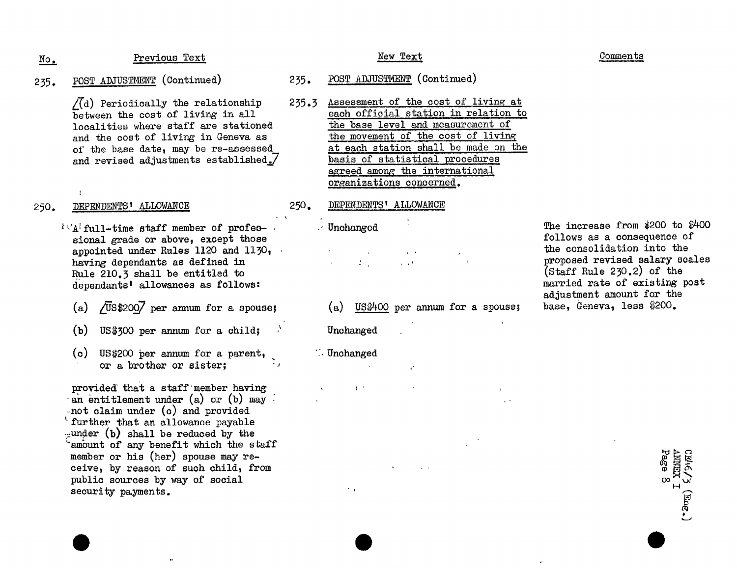### Previous Text

- POST ADJUSTMENT (Continued)  $235.$ 
	- $\sqrt{d}$  Periodically the relationship between the cost of living in all localities where staff are stationed and the cost of living in Geneva as of the base date, may be re-assessed and revised adjustments established./

 $\mathbb{N}$ o.

#### DEPENDENTS' ALLOWANCE 250.

- $\mathbb{R}^d \times A^d$  full-time staff member of professional grade or above, except those appointed under Rules 1120 and 1130,  $\cdot$ having dependants as defined in Rule 210.3 shall be entitled to dependants<sup>1</sup> allowances as follows:
	- /US\$2007 per annum for a spouse:  $(a)$
	- $US$300$  per annum for a child;  $(b)$
	- (c) US\$200 per annum for a parent, or a brother or sister:

provided that a staff member having an entitlement under (a) or (b) may  $-$ not claim under (c) and provided ' further that an allowance payable  $\lnot$  under (b) shall be reduced by the amount of any benefit which the staff member or his (her) spouse may receive, by reason of such child, from public sources by way of social security payments.

### New Text

- POST ADJUSTMENT (Continued)  $235.$
- Assessment of the cost of living at  $235.3$ each official station in relation to the base level and measurement of the movement of the cost of living at each station shall be made on the basis of statistical procedures agreed among the international organizations concerned.

#### DEPENDENTS' ALLOWANCE 250.

### $\vee$  Unchanged

 $2\%$  $\frac{1}{4}$  ,  $\frac{1}{4}$ 

 $(a)$  US\$400 per annum for a spouse;

 $\mathbf{r}^*$ 

Unchanged

**Unchanged** 

 $\mathcal{F}_{\mathcal{A}}$ 

 $\mathbf{q} = \mathbf{r}$ 

The increase from \$200 to \$400 follows as a consequence of the consolidation into the proposed revised salary scales  $(Staff Rule 230.2)$  of the married rate of existing post adjustment amount for the base, Geneva, less \$200.

 $\begin{array}{c}\n\text{CDH-G/3} \\
\text{AMHTX} \\
\text{Page} \\
\text{Bage} \\
\end{array}$ 

# Comments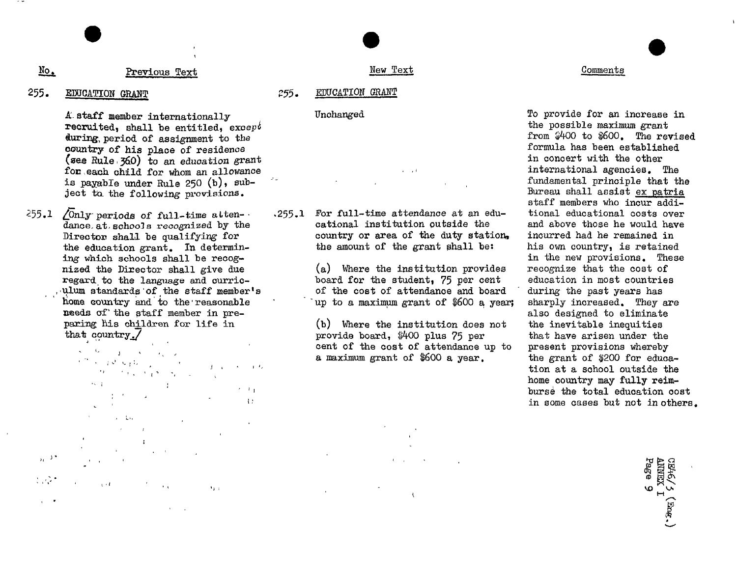#### No. Previous Text

#### 255. EDUCATION GRANT

A staff member internationally recruited, shall be entitled, except during period of assignment to the country of his place of residence (see Rule  $(360)$  to an education grant for each child for whom an allowance is payable under Rule 250 (b), subject to the following provisions.

 $255.1$  /Only periods of full-time attendance at schools recognized by the Director shall be qualifying for the education grant. In determining which schools shall be recognized the Director shall give due regard to the language and curriculum standards of the staff member's home country and to the reasonable needs of the staff member in preparing his children for life in that country 7

> $\sqrt{2}$  $\mathbf{I}$

 $\label{eq:R1} \mathcal{F}^{(m)}(x) = \int_{\mathbb{R}^n} \Phi_{\mathcal{F}}(y) \, \mathcal{F}_{\mathcal{F}}(y) \, \mathcal{F}_{\mathcal{F}}(y) \, \mathcal{F}_{\mathcal{F}}(y) \, \mathcal{F}_{\mathcal{F}}(y) \, \mathcal{F}_{\mathcal{F}}(y) \, \mathcal{F}_{\mathcal{F}}(y)$  $\label{eq:2.1} \left\| \mathbf{j} - \mathbf{k} \right\| = \left\| \mathbf{k} - \mathbf{k} \right\| \leq 1/4.$  $\label{eq:2} \left\langle \Omega_{\rm{eff}} \right\rangle = \left\langle \Omega_{\rm{eff}} \right\rangle = \left\langle \Omega_{\rm{eff}} \right\rangle = \left\langle \Omega_{\rm{eff}} \right\rangle = \frac{1}{2} \left\langle \Omega_{\rm{eff}} \right\rangle$  $\ell_{\infty} = \pm$  $\epsilon=1/\sqrt{3}$  $\pm$   $\pm$ 

 $\mathbb{R}^2$  $\mathbb{R}^2$  $\sim$  $\lambda_1$  and  $\lambda$  and

 $\mathcal{L}^{\mathcal{A}}$  ,  $\mathcal{L}^{\mathcal{A}}$  $\alpha$  or  $U$  .  $\sim$   $\sim$ 

New Text

#### EDUCATION GRANT 255.

### Unchanged

 $1 - 10$ 

.255.1 For full-time attendance at an educational institution outside the country or area of the duty station. the amount of the grant shall be:

> (a) Where the institution provides board for the student, 75 per cent of the cost of attendance and board up to a maximum grant of \$600 a year:

(b) Where the institution does not provide board, \$400 plus 75 per cent of the cost of attendance up to a maximum grant of \$600 a year.

### Comments

To provide for an increase in the possible maximum grant from \$400 to \$600. The revised formula has been established in concert with the other international agencies. The fundamental principle that the Bureau shall assist ex patria staff members who incur  $addi$ tional educational costs over and above those he would have incurred had he remained in his own country, is retained in the new provisions. These recognize that the cost of education in most countries during the past years has sharply increased. They are also designed to eliminate the inevitable inequities that have arisen under the present provisions whereby the grant of \$200 for education at a school outside the home country may fully reimburse the total education cost in some cases but not in others.

CE46/5 (Eng.)<br>ANNEX I<br>Page 9

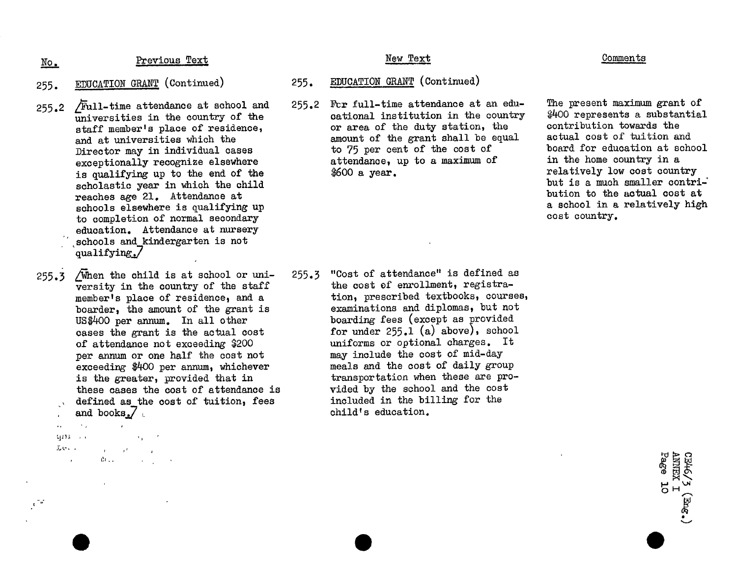No.

Previous Text

- EDUCATION GRANT (Continued) 255.
- Full-time attendance at school and  $255.2$ universities in the country of the staff member's place of residence. and at universities which the Director may in individual cases exceptionally recognize elsewhere is qualifying up to the end of the scholastic year in which the child reaches age 21. Attendance at schools elsewhere is qualifying up to completion of normal secondary education. Attendance at nursery schools and kindergarten is not qualifying./
- 255.3 /When the child is at school or university in the country of the staff member's place of residence, and a boarder, the amount of the grant is US\$400 per annum. In all other cases the grant is the actual cost of attendance not exceeding \$200 per annum or one half the cost not exceeding \$400 per annum, whichever is the greater, provided that in these cases the cost of attendance is defined as the cost of tuition, fees and books. $\sqrt{ }$ 
	- $\sim 10^7$  $\ddotsc$  $\alpha_4 = 0.2$ GEER COLL エビー  $\mathbf{u} = (1, 1, 2)$

 $\int$ 

 $\mathcal{L}^{\text{max}}_{\text{max}}$  , where  $\mathcal{L}^{\text{max}}_{\text{max}}$  $\mathcal{O}(\mathbb{Z})$ 

### New Text

#### EDUCATION GRANT (Continued)  $255.$

For full-time attendance at an edu- $255.2$ cational institution in the country or area of the duty station, the amount of the grant shall be equal to 75 per cent of the cost of attendance, up to a maximum of \$600 a year.

### **Comments**

The present maximum grant of \$400 represents a substantial contribution towards the actual cost of tuition and board for education at school in the home country in a relatively low cost country but is a much smaller contribution to the actual cost at a school in a relatively high cost country.

> ANNEX I **C/9+/EO**

 $(\mathbb{E}_{\text{DC}})$ 

"Cost of attendance" is defined as  $255.3$ the cost of enrollment, registration, prescribed textbooks, courses, examinations and diplomas, but not boarding fees (except as provided for under  $255.1$  (a) above), school uniforms or optional charges. It may include the cost of mid-day meals and the cost of daily group transportation when these are provided by the school and the cost included in the billing for the child's education.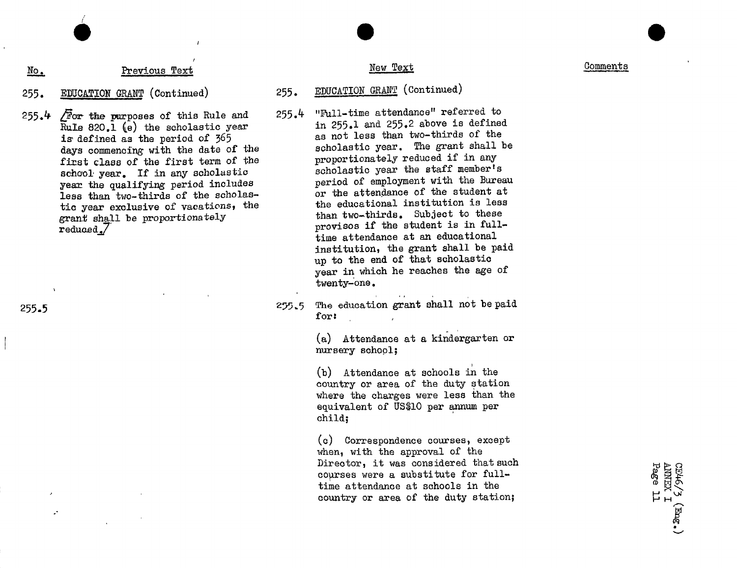No. Previous Text Comments

# 255. EDUCATION GRANT (Continued) 255. EDUCATION GRANT (Continued)

- Rule 820.1 (e) the scholastic year in 255.1 and 255.2 above is defined as the negative  $\frac{1}{2}$  is defined as the negative  $\frac{1}{2}$  as not less than two-thirds of the is defined as the period of 365 as not less than two-thirds of the<br>days commencing with the date of the scholastic year. The grant shall be days commencing with the date of the scholastic year. The grant shall<br>first class of the first term of the proportionately reduced if in any first class of the first term of the proportionately reduced if in any school year. If in any scholastic schoolastic year the staff member's  $s = 1$  is the qualifying period includes period of employment with the Bureau or the attendance of the student at less than two-thirds of the scholas- or the attendance of the student at<br>tig your explusive of recetions, the student of the educational institution is less tic year exclusive of vacations, the the educational institution is less<br>grant shall be proportionately than two-thirds. Subject to these  $\frac{1}{\text{reduced}}$  shall be provided to the student is in fullreduced<sub>a</sub>/<br>time attendance at an educational institution, the grant shall be paid up to the end of that scholastic year in which he reaches the age of twenty\_one.
- 255.5 The education grant shall not be paid for: for:

(a) Attendance at a kindergarten or nursery school;

(b) Attendance at schools in the country or area of the duty station where the charges were less than the equivalent of US\$10 per annum per child;

(c) Correspondence courses, except when, with the approval of the Director, it was considered that such<br>courses were a substitute for full-<br>time attendance at schools in the<br>country or area of the duty station;<br> $H_{H} \sim$ time attendance at schools in the  $\frac{1}{2}$  country or area of the duty station;  $\Box$ 

255.4  $\overline{F}$  or the purposes of this Rule and 255.4 "Full-time attendance" referred to<br>Bulle 820 l (a) the scholastic year in 255.1 and 255.2 above is defined

I !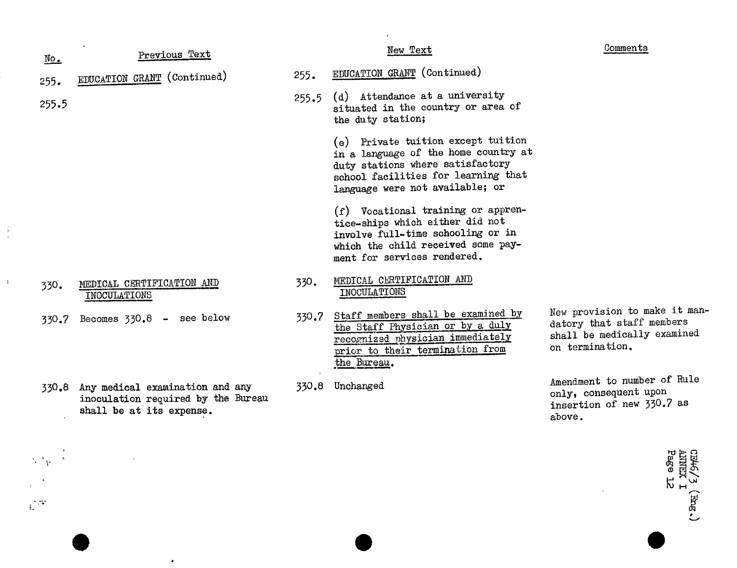| $\underline{\text{No}}$ . | Previous Text                                                                                           |       | New Text                                                                                                                                                                                 | Comments                                                                                                     |
|---------------------------|---------------------------------------------------------------------------------------------------------|-------|------------------------------------------------------------------------------------------------------------------------------------------------------------------------------------------|--------------------------------------------------------------------------------------------------------------|
| 255.                      | EDUCATION GRANT (Continued)                                                                             | 255.  | EDUCATION GRANT (Continued)                                                                                                                                                              |                                                                                                              |
| 255.5                     |                                                                                                         | 255.5 | (d) Attendance at a university<br>situated in the country or area of<br>the duty station;                                                                                                |                                                                                                              |
|                           |                                                                                                         |       | (e) Private tuition except tuition<br>in a language of the home country at<br>duty stations where satisfactory<br>school facilities for learning that<br>language were not available; or |                                                                                                              |
|                           |                                                                                                         |       | (f) Vocational training or appren-<br>tice-ships which either did not<br>involve full-time schooling or in<br>which the child received some pay-<br>ment for services rendered.          |                                                                                                              |
| 330.                      | MEDICAL CERTIFICATION AND<br>INOCULATIONS                                                               | 330.  | MEDICAL CERTIFICATION AND<br>INOCULATIONS                                                                                                                                                |                                                                                                              |
| 330.7                     | Becomes $330.8$ - see below                                                                             | 330.7 | Staff members shall be examined by<br>the Staff Physician or by a duly<br>recognized physician immediately<br>prior to their termination from<br>the Bureau.                             | New provision to make it man-<br>datory that staff members<br>shall be medically examined<br>on termination. |
|                           | 330.8 Any medical examination and any<br>inoculation required by the Bureau<br>shall be at its expense. | 330.8 | Unchanged                                                                                                                                                                                | Amendment to number of Rule<br>only, consequent upon<br>insertion of new 330.7 as<br>above.                  |
|                           |                                                                                                         |       |                                                                                                                                                                                          | Pag<br>品大<br><b>LKINI</b>                                                                                    |

 $\frac{1}{2}$ 

 $\frac{1}{2}$ 

 $\frac{1}{2} \frac{1}{2} \frac{1}{2} \frac{1}{2}$ 

 $\bullet$ 

CE46/3 (Eng.)<br>ANNEX I<br>Page 12

 $\mathcal{L}^{\mathcal{A}}$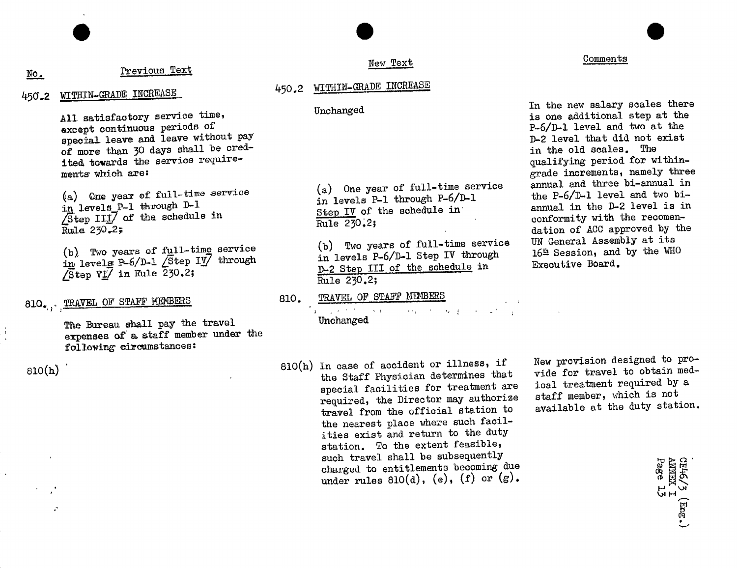# no. Previous Text Comments Comments Comments Comments Comments Comments Comments Comments Comments Comments Comments Comments Comments Comments Comments Comments Comments Comments Comments Comments Comments Comments Commen

### 45(\_.2 WIIIIIN-GRADEINCREASE 450.**2 WITHIN-GRADE INCR**EASE

All satisfactory service time,  $\frac{U}{U}$  unchanged  $\frac{U}{U}$  is one additional step at the nexcept continuous periods of  $P-\delta/D-1$  level and two at the expectal leave and leave without pay<br>of more than 30 days shall be cred-<br>in the old scales. The ited towards the service require-<br>ments which are:<br><u>erade increments</u>, namely thre

 $\angle$ Step III/ of the schedule in Step IV of the schedule in the Step IV of  $\frac{\text{Step 1V}}{\text{Rule 230.2}}$ 

 $\sqrt{\text{Step VI}}$  in Rule 230.2; D-2 Step II Rule 230.2;

ne bureau shall pay the travel under the travel unchanged the travel unchanged the travel unchanged the travel unchanged the travel unchanged the travel unchanged the travel unchanged the travel unchanged the travel unchan expenses of a ataff member under the following circumstances:

 $\ddot{\cdot}$ 

### New Text

### Unchanged

(a) whe year of turn-time service of the service of the service and the P-6/D-1 level and two bi-<br>in levels P-1 through D-1 change of the series and the p-8/D-1 level is in Step IV of the schedule in annual in the  $\nu$ -2 level is 1<br>
p-1 conformity with the recomen-

(b). Two years of full-time service (b) Two years of full-time service of the service of full-time service (b) Two years of full-time service of the service of the Session, and  $\frac{10^n}{10}$  levels P-6/D-1 Step IV through D-2 Step III of the schedule in

> TRAVEL OF STAFF MEMBERS 810.

810. TRAVEL OF STAFF MEMBERS 810. TRAVEL OF STAFF MEMBERS 810. Unchanged

 $810(h)$  Blo(h) In case of accident or illness, if New provision designed to pro-<br>the Staff Physician determines that wide for travel to obtain med-<br>contract protection for tractment are singleted in treatment required by special facilities for treatment are ical treatment required by<br>required the Director may suthorize staff member, which is not required, the Director may authorize staff member, which is not treatment from the official station to available at the duty station. travel from the official station to the nearest place where such facilities exist and return to the duty station. To the extent feasible, such travel shall be subsequently charged to entitlements becoming due such travel shall be subsequently<br>charged to entitlements becoming due<br>under rules 810(d), (e), (f) or (g).<br> $\begin{bmatrix} 1 & 0 \\ 0 & -1 \end{bmatrix}$ <br> $\begin{bmatrix} 1 & 0 \\ 0 & -1 \end{bmatrix}$ 

New provision designed to pro-

In the new salary scales there grade increments, namely three<br>annual and three bi-annual in (a) One year of full-time service (a) One year of full-time service annual and three bi-annual in<br>the P-6/D-1 level and two bi-Rule 230.<sup>2</sup>,<br>(b) Two years of full-time service UN General Assembly at its UN General Assembly at its  $164$  Session, and by the WHO

Comments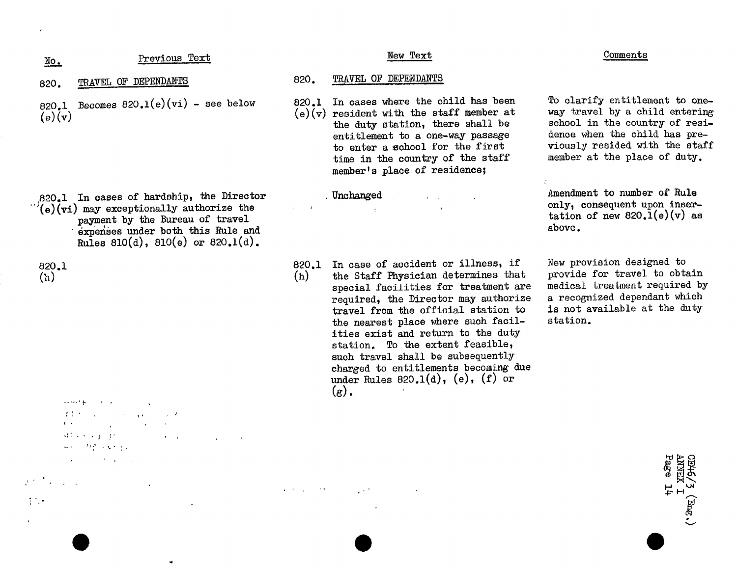| $\underline{\text{No}}$ . | Text            | new rext       | comments |
|---------------------------|-----------------|----------------|----------|
|                           | <u>Previous</u> | ______________ | ______   |

- 
- 820.1 Becomes 820.1(e)(vi) see below 820.1 In cases where the child has been To clarify entitlement to one-<br>(e)(v) resident with the staff member at way travel by a child entering<br>e)(v) resident with the staff member at

- $\frac{1}{20}$  in cases of hardship, the Director and Unchanged and Amendment to number of Rule<br>  $\frac{1}{2}$  (e)(vi) may exceptionally authorize the state only, consequent upon inser- $_{\text{payment by the Bureau of travel}}$  by the Bureau of travel  $\frac{1}{2}$  above. e**x**penses u**n**der both this Rule and above. Rules 810(d), 810(e) or 820.1(d).
- 

- $\sim$  100  $\mu$
- まある (1980) 1980 (1980) 1980
- $\sim$  100
- '**:**( \_ ' ' **3** 44. 化学 人名利亚
- 
- and the state of the state

# i*'*,*'* \*'\_

 $\bullet$ 

### 820. TRAVEL OF DEPENDANTS 820. TRAVEL OF DEPENDANTS

the duty station, there shall be school in the country of resientitlement to a one-way passage dence when the child has preto enter a school for the first viously resided with the staff time in the country of the staff member at the place of duty. memberts place of residence:  $m$ emberg place of  $r$ 

All Annual Contractor

To clarify entitlement to one-

Amendment to number of Rule

820.1 820.1 In case of accide**n**t or illness, if New pro**v**ision designed to special facilities for treatment are medical treatment required by required, the Director may authorize a recognized dependant which travel from the official station to is not available at the duty the nearest place where such facil-<br>station. ities exist and return to the duty station. To the extent feasible, such travel shall be subsequently charged to entitlements becoming due  $\frac{1}{2}$  charged to  $\frac{1}{2}$  (a)  $\frac{1}{2}$  (f) or  $\lim_{n \to \infty}$  rules  $\lim_{n \to \infty}$  or  $\lim_{n \to \infty}$ 

New provision designed to

Page **ARTIZEX**  $\ddot{t}$  $(300)$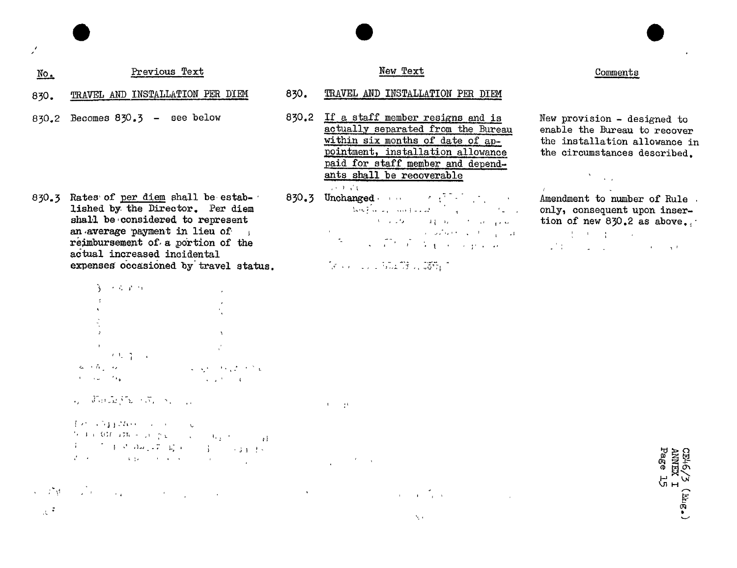#### Previous Text  $\mathbb{N}$ o.

 $\mathcal{L}$ 

- TRAVEL AND INSTALLATION PER DIEM 830.
- Becomes  $830.3$  see below 830.2

830.3 Rates of per diem shall be established by the Director. Per diem shall be considered to represent an average payment in lieu of reimbursement of a portion of the actual increased incidental expenses occasioned by travel status.

|                   | 3、不可是的                                                                             |                         |
|-------------------|------------------------------------------------------------------------------------|-------------------------|
|                   |                                                                                    |                         |
|                   |                                                                                    |                         |
|                   |                                                                                    |                         |
|                   |                                                                                    |                         |
|                   |                                                                                    |                         |
|                   | $\mathcal{L} = \{ \mathcal{L} \in \mathcal{L} \mid \mathcal{L} \in \mathcal{L} \}$ | $\sim 3\%$              |
| من به به          |                                                                                    | 经无损 网络英国产业              |
| بهلاس المتلاد الع |                                                                                    | <b>CALL AT LCCC AND</b> |

 $\mathcal{A}_\mathcal{A} = \widetilde{\mathcal{A}} \widetilde{\mathcal{A}} \widetilde{\mathcal{A}} \widetilde{\mathcal{A}} \widetilde{\mathcal{A}} \widetilde{\mathcal{A}} \widetilde{\mathcal{A}} \widetilde{\mathcal{A}} \widetilde{\mathcal{A}} \widetilde{\mathcal{A}} \widetilde{\mathcal{A}} \widetilde{\mathcal{A}} \widetilde{\mathcal{A}} \widetilde{\mathcal{A}} \widetilde{\mathcal{A}} \widetilde{\mathcal{A}} \widetilde{\mathcal{A}} \widetilde{\mathcal{A}} \widetilde{\mathcal{A}} \widetilde{\mathcal{A}} \widetilde{\mathcal$ 

for stypehold in the co  $\mathcal{D}(\mathcal{A}) \approx \mathcal{B} \mathcal{M}(\mathcal{A} \mathcal{B}) + \mathcal{A}(\mathcal{D}(\mathcal{X})) \geq \mathcal{A}(\mathcal{A}(\mathcal{A} \mathcal{B}))) \geq \mathcal{A}(\mathcal{A} \mathcal{B}(\mathcal{B} \mathcal{B})))$  $\begin{array}{lllllllllllll} \frac{4}{3} & \frac{1}{3} & \frac{1}{3} & \frac{1}{3} & \frac{1}{3} & \frac{1}{3} & \frac{1}{3} & \frac{1}{3} & \frac{1}{3} & \frac{1}{3} & \frac{1}{3} & \frac{1}{3} & \frac{1}{3} & \frac{1}{3} \\ \frac{1}{3} & \frac{1}{3} & \frac{1}{3} & \frac{1}{3} & \frac{1}{3} & \frac{1}{3} & \frac{1}{3} & \frac{1}{3} & \frac{1}{3} & \frac{1}{3} & \frac{1}{3} & \frac{1}{3}$ 

 $\mathcal{L}^{\mathcal{A}}\left(\mathcal{I}^{\mathcal{B}}_{\mathcal{B}}\right)=\mathcal{I}^{\mathcal{B}}_{\mathcal{B}}\left(\mathcal{I}^{\mathcal{B}}_{\mathcal{B}}\right)=\mathcal{I}^{\mathcal{B}}_{\mathcal{B}}\left(\mathcal{I}^{\mathcal{B}}_{\mathcal{B}}\right)=\mathcal{I}^{\mathcal{B}}_{\mathcal{B}}\left(\mathcal{I}^{\mathcal{B}}_{\mathcal{B}}\right)=\mathcal{I}^{\mathcal{B}}_{\mathcal{B}}\left(\mathcal{I}^{\mathcal{B}}_{\mathcal{B}}\right)$  $\label{eq:3.1} \mathbf{u}^{\mathbf{u}}_{\mathbf{u}} = \mathbf{u}^{\mathbf{u}}_{\mathbf{u}} + \mathbf{u}^{\mathbf{u}}_{\mathbf{u}} + \mathbf{u}^{\mathbf{u}}_{\mathbf{u}} + \mathbf{u}^{\mathbf{u}}_{\mathbf{u}} + \mathbf{u}^{\mathbf{u}}_{\mathbf{u}} + \mathbf{u}^{\mathbf{u}}_{\mathbf{u}} + \mathbf{u}^{\mathbf{u}}_{\mathbf{u}}$  $\sim$ 

## $\sim 7$

### New Text

#### 830. TRAVEL AND INSTALLATION PER DIEM

- If a staff member resigns and is 830.2 actually separated from the Bureau within six months of date of appointment, installation allowance paid for staff member and dependants shall be recoverable
- $830.3$  Unchanged  $\mathcal{L}$  is the set of  $\mathcal{L}$ Rockey and the same of the same المحتوي المواردة والمتحدث والأكرام المحاربين والأكرام والمحارب

 $A_{\rm{max}}$  and

 $\label{eq:2.1} \frac{1}{2} \int_{\mathbb{R}^3} \left| \frac{d\mathbf{x}}{d\mathbf{x}} \right|^2 \, d\mathbf{x} \, d\mathbf{x} \, d\mathbf{x} \, d\mathbf{x} \, d\mathbf{x} \, d\mathbf{x} \, d\mathbf{x} \, d\mathbf{x} \, d\mathbf{x} \, d\mathbf{x} \, d\mathbf{x} \, d\mathbf{x} \, d\mathbf{x} \, d\mathbf{x} \, d\mathbf{x} \, d\mathbf{x} \, d\mathbf{x} \, d\mathbf{x} \, d\mathbf{x} \, d\mathbf{x} \, d\mathbf{x} \$ 

### Comments

New provision - designed to enable the Bureau to recover the installation allowance in the circumstances described.

# $\mathcal{F}^{\mathcal{F}}_{\mathcal{F}}$  and  $\mathcal{F}^{\mathcal{F}}_{\mathcal{F}}$

Amendment to number of Rule. only, consequent upon insertion of new 830.2 as above. **Second Control Books**  $\label{eq:2.1} \mathcal{L}^{\frac{1}{2}}\left(\mathcal{L}^{\frac{1}{2}}\right) = \mathcal{L}^{\frac{1}{2}}\left(\mathcal{L}^{\frac{1}{2}}\right) = \mathcal{L}^{\frac{1}{2}}\left(\mathcal{L}^{\frac{1}{2}}\right) = \mathcal{L}^{\frac{1}{2}}\left(\mathcal{L}^{\frac{1}{2}}\right) = \mathcal{L}^{\frac{1}{2}}\left(\mathcal{L}^{\frac{1}{2}}\right) = \mathcal{L}^{\frac{1}{2}}\left(\mathcal{L}^{\frac{1}{2}}\right) = \mathcal{L}^$ 

> $\begin{array}{ll}\n\text{CDH-G/1} & \text{CDH-G/1} \\
> \text{AMRT} & \text{Page 1}\n\end{array}$ 요<br>모모  $(\mathbf{F}\mathbf{M}\mathbf{g}_\bullet)$